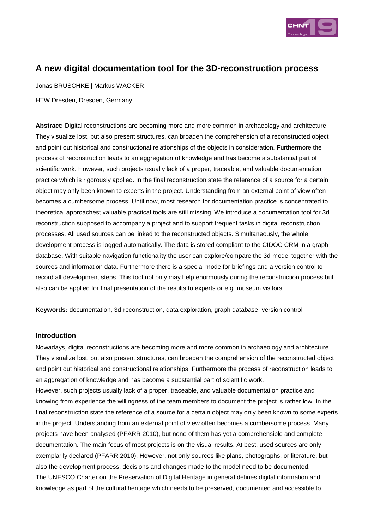

# **A new digital documentation tool for the 3D-reconstruction process**

Jonas BRUSCHKE | Markus WACKER

HTW Dresden, Dresden, Germany

**Abstract:** Digital reconstructions are becoming more and more common in archaeology and architecture. They visualize lost, but also present structures, can broaden the comprehension of a reconstructed object and point out historical and constructional relationships of the objects in consideration. Furthermore the process of reconstruction leads to an aggregation of knowledge and has become a substantial part of scientific work. However, such projects usually lack of a proper, traceable, and valuable documentation practice which is rigorously applied. In the final reconstruction state the reference of a source for a certain object may only been known to experts in the project. Understanding from an external point of view often becomes a cumbersome process. Until now, most research for documentation practice is concentrated to theoretical approaches; valuable practical tools are still missing. We introduce a documentation tool for 3d reconstruction supposed to accompany a project and to support frequent tasks in digital reconstruction processes. All used sources can be linked to the reconstructed objects. Simultaneously, the whole development process is logged automatically. The data is stored compliant to the CIDOC CRM in a graph database. With suitable navigation functionality the user can explore/compare the 3d-model together with the sources and information data. Furthermore there is a special mode for briefings and a version control to record all development steps. This tool not only may help enormously during the reconstruction process but also can be applied for final presentation of the results to experts or e.g. museum visitors.

**Keywords:** documentation, 3d-reconstruction, data exploration, graph database, version control

#### **Introduction**

Nowadays, digital reconstructions are becoming more and more common in archaeology and architecture. They visualize lost, but also present structures, can broaden the comprehension of the reconstructed object and point out historical and constructional relationships. Furthermore the process of reconstruction leads to an aggregation of knowledge and has become a substantial part of scientific work.

However, such projects usually lack of a proper, traceable, and valuable documentation practice and knowing from experience the willingness of the team members to document the project is rather low. In the final reconstruction state the reference of a source for a certain object may only been known to some experts in the project. Understanding from an external point of view often becomes a cumbersome process. Many projects have been analysed (PFARR 2010), but none of them has yet a comprehensible and complete documentation. The main focus of most projects is on the visual results. At best, used sources are only exemplarily declared (PFARR 2010). However, not only sources like plans, photographs, or literature, but also the development process, decisions and changes made to the model need to be documented. The UNESCO Charter on the Preservation of Digital Heritage in general defines digital information and knowledge as part of the cultural heritage which needs to be preserved, documented and accessible to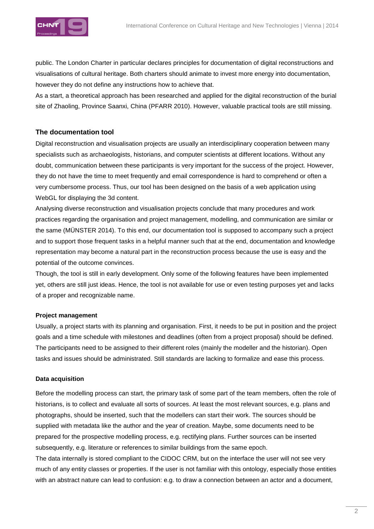public. The London Charter in particular declares principles for documentation of digital reconstructions and visualisations of cultural heritage. Both charters should animate to invest more energy into documentation, however they do not define any instructions how to achieve that.

As a start, a theoretical approach has been researched and applied for the digital reconstruction of the burial site of Zhaoling, Province Saanxi, China (PFARR 2010). However, valuable practical tools are still missing.

## **The documentation tool**

Digital reconstruction and visualisation projects are usually an interdisciplinary cooperation between many specialists such as archaeologists, historians, and computer scientists at different locations. Without any doubt, communication between these participants is very important for the success of the project. However, they do not have the time to meet frequently and email correspondence is hard to comprehend or often a very cumbersome process. Thus, our tool has been designed on the basis of a web application using WebGL for displaying the 3d content.

Analysing diverse reconstruction and visualisation projects conclude that many procedures and work practices regarding the organisation and project management, modelling, and communication are similar or the same (MÜNSTER 2014). To this end, our documentation tool is supposed to accompany such a project and to support those frequent tasks in a helpful manner such that at the end, documentation and knowledge representation may become a natural part in the reconstruction process because the use is easy and the potential of the outcome convinces.

Though, the tool is still in early development. Only some of the following features have been implemented yet, others are still just ideas. Hence, the tool is not available for use or even testing purposes yet and lacks of a proper and recognizable name.

### **Project management**

Usually, a project starts with its planning and organisation. First, it needs to be put in position and the project goals and a time schedule with milestones and deadlines (often from a project proposal) should be defined. The participants need to be assigned to their different roles (mainly the modeller and the historian). Open tasks and issues should be administrated. Still standards are lacking to formalize and ease this process.

### **Data acquisition**

Before the modelling process can start, the primary task of some part of the team members, often the role of historians, is to collect and evaluate all sorts of sources. At least the most relevant sources, e.g. plans and photographs, should be inserted, such that the modellers can start their work. The sources should be supplied with metadata like the author and the year of creation. Maybe, some documents need to be prepared for the prospective modelling process, e.g. rectifying plans. Further sources can be inserted subsequently, e.g. literature or references to similar buildings from the same epoch.

The data internally is stored compliant to the CIDOC CRM, but on the interface the user will not see very much of any entity classes or properties. If the user is not familiar with this ontology, especially those entities with an abstract nature can lead to confusion: e.g. to draw a connection between an actor and a document,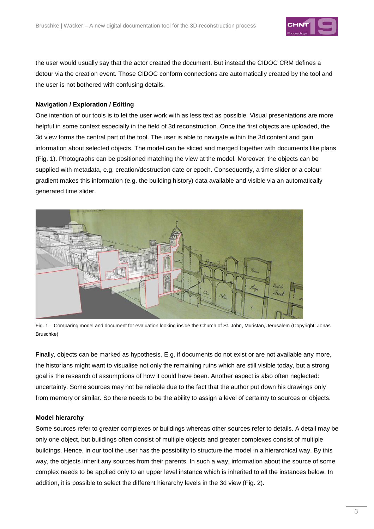

the user would usually say that the actor created the document. But instead the CIDOC CRM defines a detour via the creation event. Those CIDOC conform connections are automatically created by the tool and the user is not bothered with confusing details.

#### **Navigation / Exploration / Editing**

One intention of our tools is to let the user work with as less text as possible. Visual presentations are more helpful in some context especially in the field of 3d reconstruction. Once the first objects are uploaded, the 3d view forms the central part of the tool. The user is able to navigate within the 3d content and gain information about selected objects. The model can be sliced and merged together with documents like plans (Fig. 1). Photographs can be positioned matching the view at the model. Moreover, the objects can be supplied with metadata, e.g. creation/destruction date or epoch. Consequently, a time slider or a colour gradient makes this information (e.g. the building history) data available and visible via an automatically generated time slider.



Fig. 1 – Comparing model and document for evaluation looking inside the Church of St. John, Muristan, Jerusalem (Copyright: Jonas Bruschke)

Finally, objects can be marked as hypothesis. E.g. if documents do not exist or are not available any more, the historians might want to visualise not only the remaining ruins which are still visible today, but a strong goal is the research of assumptions of how it could have been. Another aspect is also often neglected: uncertainty. Some sources may not be reliable due to the fact that the author put down his drawings only from memory or similar. So there needs to be the ability to assign a level of certainty to sources or objects.

#### **Model hierarchy**

Some sources refer to greater complexes or buildings whereas other sources refer to details. A detail may be only one object, but buildings often consist of multiple objects and greater complexes consist of multiple buildings. Hence, in our tool the user has the possibility to structure the model in a hierarchical way. By this way, the objects inherit any sources from their parents. In such a way, information about the source of some complex needs to be applied only to an upper level instance which is inherited to all the instances below. In addition, it is possible to select the different hierarchy levels in the 3d view (Fig. 2).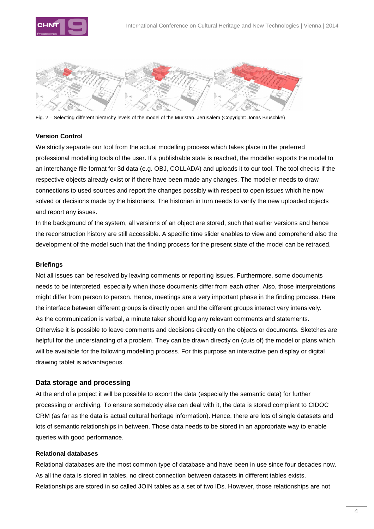



Fig. 2 – Selecting different hierarchy levels of the model of the Muristan, Jerusalem (Copyright: Jonas Bruschke)

### **Version Control**

We strictly separate our tool from the actual modelling process which takes place in the preferred professional modelling tools of the user. If a publishable state is reached, the modeller exports the model to an interchange file format for 3d data (e.g. OBJ, COLLADA) and uploads it to our tool. The tool checks if the respective objects already exist or if there have been made any changes. The modeller needs to draw connections to used sources and report the changes possibly with respect to open issues which he now solved or decisions made by the historians. The historian in turn needs to verify the new uploaded objects and report any issues.

In the background of the system, all versions of an object are stored, such that earlier versions and hence the reconstruction history are still accessible. A specific time slider enables to view and comprehend also the development of the model such that the finding process for the present state of the model can be retraced.

#### **Briefings**

Not all issues can be resolved by leaving comments or reporting issues. Furthermore, some documents needs to be interpreted, especially when those documents differ from each other. Also, those interpretations might differ from person to person. Hence, meetings are a very important phase in the finding process. Here the interface between different groups is directly open and the different groups interact very intensively. As the communication is verbal, a minute taker should log any relevant comments and statements. Otherwise it is possible to leave comments and decisions directly on the objects or documents. Sketches are helpful for the understanding of a problem. They can be drawn directly on (cuts of) the model or plans which will be available for the following modelling process. For this purpose an interactive pen display or digital drawing tablet is advantageous.

#### **Data storage and processing**

At the end of a project it will be possible to export the data (especially the semantic data) for further processing or archiving. To ensure somebody else can deal with it, the data is stored compliant to CIDOC CRM (as far as the data is actual cultural heritage information). Hence, there are lots of single datasets and lots of semantic relationships in between. Those data needs to be stored in an appropriate way to enable queries with good performance.

### **Relational databases**

Relational databases are the most common type of database and have been in use since four decades now. As all the data is stored in tables, no direct connection between datasets in different tables exists. Relationships are stored in so called JOIN tables as a set of two IDs. However, those relationships are not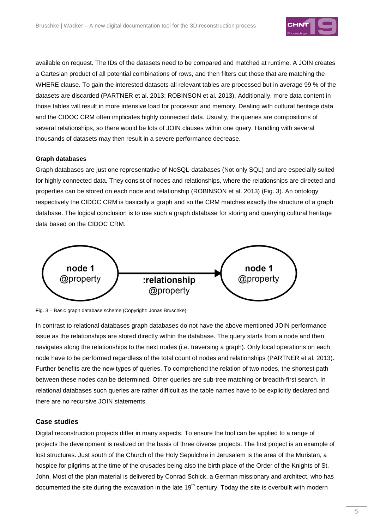

available on request. The IDs of the datasets need to be compared and matched at runtime. A JOIN creates a Cartesian product of all potential combinations of rows, and then filters out those that are matching the WHERE clause. To gain the interested datasets all relevant tables are processed but in average 99 % of the datasets are discarded (PARTNER et al. 2013; ROBINSON et al. 2013). Additionally, more data content in those tables will result in more intensive load for processor and memory. Dealing with cultural heritage data and the CIDOC CRM often implicates highly connected data. Usually, the queries are compositions of several relationships, so there would be lots of JOIN clauses within one query. Handling with several thousands of datasets may then result in a severe performance decrease.

#### **Graph databases**

Graph databases are just one representative of NoSQL-databases (Not only SQL) and are especially suited for highly connected data. They consist of nodes and relationships, where the relationships are directed and properties can be stored on each node and relationship (ROBINSON et al. 2013) (Fig. 3). An ontology respectively the CIDOC CRM is basically a graph and so the CRM matches exactly the structure of a graph database. The logical conclusion is to use such a graph database for storing and querying cultural heritage data based on the CIDOC CRM.



Fig. 3 – Basic graph database scheme (Copyright: Jonas Bruschke)

In contrast to relational databases graph databases do not have the above mentioned JOIN performance issue as the relationships are stored directly within the database. The query starts from a node and then navigates along the relationships to the next nodes (i.e. traversing a graph). Only local operations on each node have to be performed regardless of the total count of nodes and relationships (PARTNER et al. 2013). Further benefits are the new types of queries. To comprehend the relation of two nodes, the shortest path between these nodes can be determined. Other queries are sub-tree matching or breadth-first search. In relational databases such queries are rather difficult as the table names have to be explicitly declared and there are no recursive JOIN statements.

#### **Case studies**

Digital reconstruction projects differ in many aspects. To ensure the tool can be applied to a range of projects the development is realized on the basis of three diverse projects. The first project is an example of lost structures. Just south of the Church of the Holy Sepulchre in Jerusalem is the area of the Muristan, a hospice for pilgrims at the time of the crusades being also the birth place of the Order of the Knights of St. John. Most of the plan material is delivered by Conrad Schick, a German missionary and architect, who has documented the site during the excavation in the late  $19<sup>th</sup>$  century. Today the site is overbuilt with modern